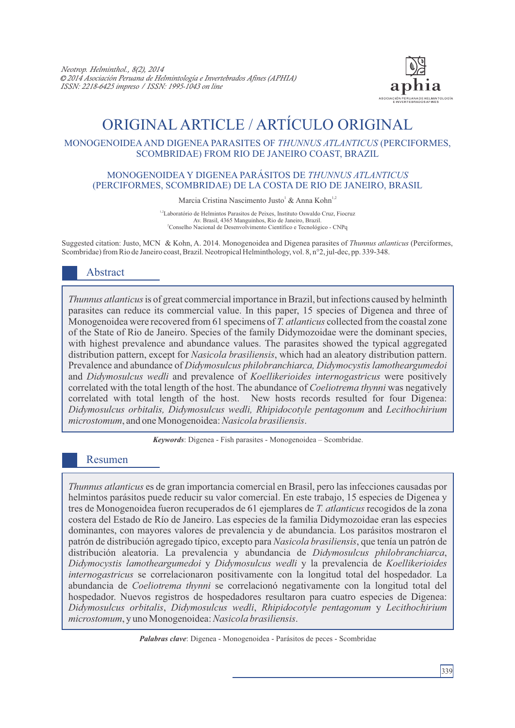

# ORIGINAL ARTICLE / ARTÍCULO ORIGINAL

# MONOGENOIDEAAND DIGENEA PARASITES OF *THUNNUS ATLANTICUS* (PERCIFORMES, SCOMBRIDAE) FROM RIO DE JANEIRO COAST, BRAZIL

### MONOGENOIDEA Y DIGENEA PARÁSITOS DE *THUNNUS ATLANTICUS* (PERCIFORMES, SCOMBRIDAE) DE LA COSTA DE RIO DE JANEIRO, BRASIL

Marcia Cristina Nascimento Justo<sup>1</sup> & Anna Kohn<sup>1,2</sup>

1,2Laboratório de Helmintos Parasitos de Peixes, Instituto Oswaldo Cruz, Fiocruz Av. Brasil, 4365 Manguinhos, Rio de Janeiro, Brazil. <sup>2</sup>Conselho Nacional de Desenvolvimento Científico e Tecnológico - CNPq

Suggested citation: Justo, MCN & Kohn, A. 2014. Monogenoidea and Digenea parasites of *Thunnus atlanticus* (Perciformes, Scombridae) from Rio de Janeiro coast, Brazil. Neotropical Helminthology, vol. 8, n°2, jul-dec, pp. 339-348.

# Abstract

*Thunnus atlanticus*is of great commercial importance in Brazil, but infections caused by helminth parasites can reduce its commercial value. In this paper, 15 species of Digenea and three of Monogenoidea were recovered from 61 specimens of *T. atlanticus* collected from the coastal zone of the State of Rio de Janeiro. Species of the family Didymozoidae were the dominant species, with highest prevalence and abundance values. The parasites showed the typical aggregated distribution pattern, except for *Nasicola brasiliensis*, which had an aleatory distribution pattern. Prevalence and abundance of *Didymosulcus philobranchiarca, Didymocystis lamotheargumedoi*  and *Didymosulcus wedli* and prevalence of *Koellikerioides internogastricus* were positively correlated with the total length of the host. The abundance of *Coeliotrema thynni* was negatively correlated with total length of the host. New hosts records resulted for four Digenea: *Didymosulcus orbitalis, Didymosulcus wedli, Rhipidocotyle pentagonum* and *Lecithochirium microstomum*, and one Monogenoidea: *Nasicola brasiliensis*.

*Keywords*: Digenea - Fish parasites - Monogenoidea – Scombridae.

# Resumen

*Thunnus atlanticus* es de gran importancia comercial en Brasil, pero las infecciones causadas por helmintos parásitos puede reducir su valor comercial. En este trabajo, 15 especies de Digenea y tres de Monogenoidea fueron recuperados de 61 ejemplares de *T. atlanticus* recogidos de la zona costera del Estado de Río de Janeiro. Las especies de la familia Didymozoidae eran las especies dominantes, con mayores valores de prevalencia y de abundancia. Los parásitos mostraron el patrón de distribución agregado típico, excepto para *Nasicola brasiliensis*, que tenía un patrón de distribución aleatoria. La prevalencia y abundancia de *Didymosulcus philobranchiarca*, *Didymocystis lamotheargumedoi* y *Didymosulcus wedli* y la prevalencia de *Koellikerioides internogastricus* se correlacionaron positivamente con la longitud total del hospedador. La abundancia de *Coeliotrema thynni* se correlacionó negativamente con la longitud total del hospedador. Nuevos registros de hospedadores resultaron para cuatro especies de Digenea: *Didymosulcus orbitalis*, *Didymosulcus wedli*, *Rhipidocotyle pentagonum* y *Lecithochirium microstomum*, y uno Monogenoidea: *Nasicola brasiliensis*.

*Palabras clave*: Digenea - Monogenoidea - Parásitos de peces - Scombridae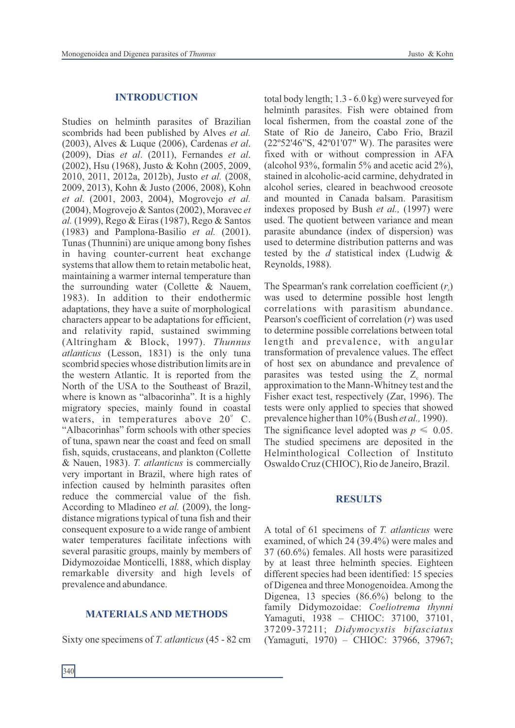#### **INTRODUCTION**

Studies on helminth parasites of Brazilian scombrids had been published by Alves *et al.*  (2003), Alves & Luque (2006), Cardenas *et al*. (2009), Dias *et al*. (2011), Fernandes *et al*. (2002), Hsu (1968), Justo & Kohn (2005, 2009, 2010, 2011, 2012a, 2012b), Justo *et al.* (2008, 2009, 2013), Kohn & Justo (2006, 2008), Kohn *et al*. (2001, 2003, 2004), Mogrovejo *et al.* (2004), Mogrovejo & Santos (2002), Moravec *et al.* (1999), Rego & Eiras (1987), Rego & Santos (1983) and Pamplona-Basilio *et al.* (2001). Tunas (Thunnini) are unique among bony fishes in having counter-current heat exchange systems that allow them to retain metabolic heat, maintaining a warmer internal temperature than the surrounding water (Collette & Nauem, 1983). In addition to their endothermic adaptations, they have a suite of morphological characters appear to be adaptations for efficient, and relativity rapid, sustained swimming (Altringham & Block, 1997). *Thunnus atlanticus* (Lesson, 1831) is the only tuna scombrid species whose distribution limits are in the western Atlantic. It is reported from the North of the USA to the Southeast of Brazil, where is known as "albacorinha". It is a highly migratory species, mainly found in coastal waters, in temperatures above  $20^{\circ}$  C. "Albacorinhas" form schools with other species of tuna, spawn near the coast and feed on small fish, squids, crustaceans, and plankton (Collette & Nauen, 1983). *T. atlanticus* is commercially very important in Brazil, where high rates of infection caused by helminth parasites often reduce the commercial value of the fish. According to Mladineo *et al.* (2009), the longdistance migrations typical of tuna fish and their consequent exposure to a wide range of ambient water temperatures facilitate infections with several parasitic groups, mainly by members of Didymozoidae Monticelli, 1888, which display remarkable diversity and high levels of prevalence and abundance.

#### **MATERIALS AND METHODS**

Sixty one specimens of *T. atlanticus* (45 - 82 cm

total body length; 1.3 - 6.0 kg) were surveyed for helminth parasites. Fish were obtained from local fishermen, from the coastal zone of the State of Rio de Janeiro, Cabo Frio, Brazil (22º52'46"S, 42º01'07" W). The parasites were fixed with or without compression in AFA (alcohol 93%, formalin 5% and acetic acid 2%), stained in alcoholic-acid carmine, dehydrated in alcohol series, cleared in beachwood creosote and mounted in Canada balsam. Parasitism indexes proposed by Bush *et al.,* (1997) were used. The quotient between variance and mean parasite abundance (index of dispersion) was used to determine distribution patterns and was tested by the *d* statistical index (Ludwig & Reynolds, 1988).

The Spearman's rank correlation coefficient  $(r<sub>s</sub>)$ was used to determine possible host length correlations with parasitism abundance. Pearson's coefficient of correlation (*r*) was used to determine possible correlations between total length and prevalence, with angular transformation of prevalence values. The effect of host sex on abundance and prevalence of parasites was tested using the  $Z_c$  normal approximation to the Mann-Whitney test and the Fisher exact test, respectively (Zar, 1996). The tests were only applied to species that showed prevalence higher than 10% (Bush *et al.,* 1990). The significance level adopted was  $p \leq 0.05$ . The studied specimens are deposited in the Helminthological Collection of Instituto Oswaldo Cruz (CHIOC), Rio de Janeiro, Brazil.

#### **RESULTS**

A total of 61 specimens of *T. atlanticus* were examined, of which 24 (39.4%) were males and 37 (60.6%) females. All hosts were parasitized by at least three helminth species. Eighteen different species had been identified: 15 species of Digenea and three Monogenoidea. Among the Digenea, 13 species (86.6%) belong to the family Didymozoidae: *Coeliotrema thynni* Yamaguti, 1938 – CHIOC: 37100, 37101, 37209-37211; *Didymocystis bifasciatus* (Yamaguti, 1970) – CHIOC: 37966, 37967;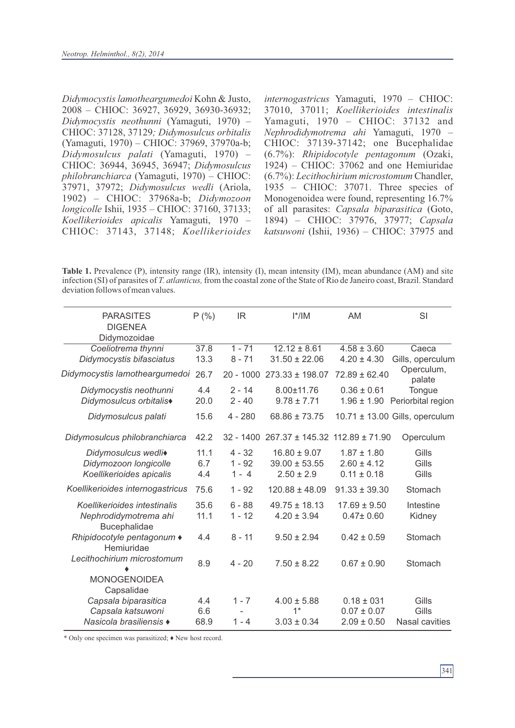*Didymocystis lamotheargumedoi* Kohn & Justo, 2008 – CHIOC: 36927, 36929, 36930-36932; *Didymocystis neothunni* (Yamaguti, 1970) – CHIOC: 37128, 37129*; Didymosulcus orbitalis*  (Yamaguti, 1970) – CHIOC: 37969, 37970a-b; *Didymosulcus palati* (Yamaguti, 1970) – CHIOC: 36944, 36945, 36947; *Didymosulcus philobranchiarca* (Yamaguti, 1970) – CHIOC: 37971, 37972; *Didymosulcus wedli* (Ariola, 1902) – CHIOC: 37968a-b; *Didymozoon longicolle* Ishii, 1935 – CHIOC: 37160, 37133; *Koellikerioides apicalis* Yamaguti, 1970 – CHIOC: 37143, 37148; *Koellikerioides* *internogastricus* Yamaguti, 1970 – CHIOC: 37010, 37011; *Koellikerioides intestinalis* Yamaguti, 1970 – CHIOC: 37132 and *Nephrodidymotrema ahi* Yamaguti, 1970 – CHIOC: 37139-37142; one Bucephalidae (6.7%): *Rhipidocotyle pentagonum* (Ozaki, 1924) – CHIOC: 37062 and one Hemiuridae (6.7%): *Lecithochirium microstomum* Chandler, 1935 – CHIOC: 37071. Three species of Monogenoidea were found, representing 16.7% of all parasites: *Capsala biparasitica* (Goto, 1894) – CHIOC: 37976, 37977; *Capsala katsuwoni* (Ishii, 1936) – CHIOC: 37975 and

**Table 1.** Prevalence (P), intensity range (IR), intensity (I), mean intensity (IM), mean abundance (AM) and site infection (SI) of parasites of *T. atlanticus,* from the coastal zone of the State of Rio de Janeiro coast, Brazil. Standard deviation follows of mean values.

| <b>PARASITES</b>                             | P(% ) | IR.         | $I^*/IM$                       | <b>AM</b>         | SI                             |
|----------------------------------------------|-------|-------------|--------------------------------|-------------------|--------------------------------|
| <b>DIGENEA</b>                               |       |             |                                |                   |                                |
| Didymozoidae                                 |       |             |                                |                   |                                |
| Coeliotrema thynni                           | 37.8  | $1 - 71$    | $12.12 \pm 8.61$               | $4.58 \pm 3.60$   | Caeca                          |
| Didymocystis bifasciatus                     | 13.3  | $8 - 71$    | $31.50 \pm 22.06$              | $4.20 \pm 4.30$   | Gills, operculum               |
| Didymocystis lamotheargumedoi                | 26.7  | $20 - 1000$ | $273.33 \pm 198.07$            | $72.89 \pm 62.40$ | Operculum,<br>palate           |
| Didymocystis neothunni                       | 4.4   | $2 - 14$    | 8.00±11.76                     | $0.36 \pm 0.61$   | Tongue                         |
| Didymosulcus orbitalis <sup>+</sup>          | 20.0  | $2 - 40$    | $9.78 \pm 7.71$                | $1.96 \pm 1.90$   | Periorbital region             |
| Didymosulcus palati                          | 15.6  | $4 - 280$   | $68.86 \pm 73.75$              |                   | 10.71 ± 13.00 Gills, operculum |
| Didymosulcus philobranchiarca                | 42.2  | $32 - 1400$ | 267.37 ± 145.32 112.89 ± 71.90 |                   | Operculum                      |
| Didymosulcus wedli <sup>+</sup>              | 11.1  | 4 - 32      | $16.80 \pm 9.07$               | $1.87 \pm 1.80$   | Gills                          |
| Didymozoon longicolle                        | 6.7   | $1 - 92$    | $39.00 \pm 53.55$              | $2.60 \pm 4.12$   | Gills                          |
| Koellikerioides apicalis                     | 4.4   | $1 - 4$     | $2.50 \pm 2.9$                 | $0.11 \pm 0.18$   | Gills                          |
| Koellikerioides internogastricus             | 75.6  | $1 - 92$    | $120.88 \pm 48.09$             | $91.33 \pm 39.30$ | Stomach                        |
| Koellikerioides intestinalis                 | 35.6  | $6 - 88$    | $49.75 \pm 18.13$              | $17.69 \pm 9.50$  | Intestine                      |
| Nephrodidymotrema ahi<br><b>Bucephalidae</b> | 11.1  | $1 - 12$    | $4.20 \pm 3.94$                | $0.47 \pm 0.60$   | Kidney                         |
| Rhipidocotyle pentagonum ♦<br>Hemiuridae     | 4.4   | 8 - 11      | $9.50 \pm 2.94$                | $0.42 \pm 0.59$   | Stomach                        |
| Lecithochirium microstomum                   | 8.9   | $4 - 20$    | $7.50 \pm 8.22$                | $0.67 \pm 0.90$   | Stomach                        |
| <b>MONOGENOIDEA</b><br>Capsalidae            |       |             |                                |                   |                                |
| Capsala biparasitica                         | 4.4   | $1 - 7$     | $4.00 \pm 5.88$                | $0.18 \pm 0.31$   | Gills                          |
| Capsala katsuwoni                            | 6.6   |             | $1*$                           | $0.07 \pm 0.07$   | Gills                          |
| Nasicola brasiliensis ♦                      | 68.9  | $1 - 4$     | $3.03 \pm 0.34$                | $2.09 \pm 0.50$   | Nasal cavities                 |

\* Only one specimen was parasitized; *♦* New host record.

 $341$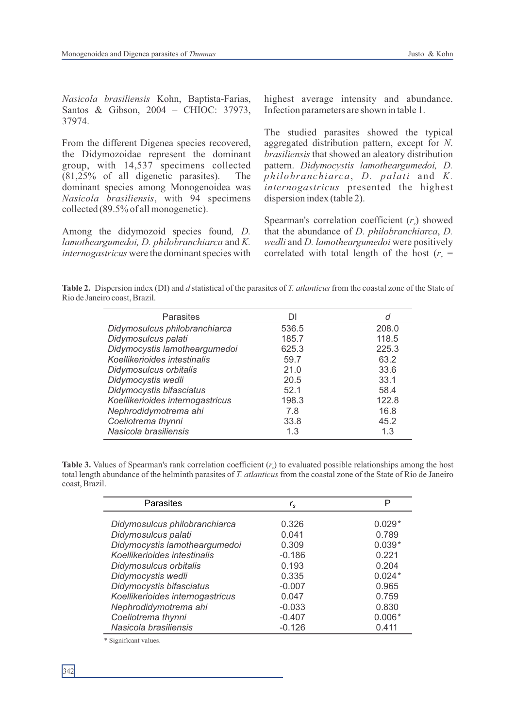*Nasicola brasiliensis* Kohn, Baptista-Farias, Santos & Gibson, 2004 – CHIOC: 37973, 37974.

From the different Digenea species recovered, the Didymozoidae represent the dominant group, with 14,537 specimens collected (81,25% of all digenetic parasites). The dominant species among Monogenoidea was *Nasicola brasiliensis*, with 94 specimens collected (89.5% of all monogenetic).

Among the didymozoid species found*, D. lamotheargumedoi, D. philobranchiarca* and *K. internogastricus* were the dominant species with highest average intensity and abundance. Infection parameters are shown in table 1.

The studied parasites showed the typical aggregated distribution pattern, except for *N*. *brasiliensis* that showed an aleatory distribution pattern. *Didymocystis lamotheargumedoi, D. philobranchiarca*, *D. palati* and *K. internogastricus* presented the highest dispersion index (table 2).

Spearman's correlation coefficient  $(r<sub>s</sub>)$  showed that the abundance of *D. philobranchiarca*, *D. wedli* and *D. lamotheargumedoi* were positively correlated with total length of the host  $(r<sub>s</sub> =$ 

**Table 2.** Dispersion index (DI) and *d* statistical of the parasites of *T. atlanticus* from the coastal zone of the State of Rio de Janeiro coast, Brazil.

| <b>Parasites</b>                 | DI    | d     |
|----------------------------------|-------|-------|
| Didymosulcus philobranchiarca    | 536.5 | 208.0 |
| Didymosulcus palati              | 185.7 | 118.5 |
| Didymocystis lamotheargumedoi    | 625.3 | 225.3 |
| Koellikerioides intestinalis     | 59.7  | 63.2  |
| Didymosulcus orbitalis           | 21.0  | 33.6  |
| Didymocystis wedli               | 20.5  | 33.1  |
| Didymocystis bifasciatus         | 52.1  | 58.4  |
| Koellikerioides internogastricus | 198.3 | 122.8 |
| Nephrodidymotrema ahi            | 7.8   | 16.8  |
| Coeliotrema thynni               | 33.8  | 45.2  |
| Nasicola brasiliensis            | 1.3   | 1.3   |

**Table 3.** Values of Spearman's rank correlation coefficient  $(r<sub>c</sub>)$  to evaluated possible relationships among the host total length abundance of the helminth parasites of *T. atlanticus* from the coastal zone of the State of Rio de Janeiro coast, Brazil.

| Parasites                        | $r_{\rm s}$ | Р        |
|----------------------------------|-------------|----------|
| Didymosulcus philobranchiarca    | 0.326       | $0.029*$ |
| Didymosulcus palati              | 0.041       | 0.789    |
| Didymocystis lamotheargumedoi    | 0.309       | $0.039*$ |
| Koellikerioides intestinalis     | $-0.186$    | 0.221    |
| Didymosulcus orbitalis           | 0.193       | 0.204    |
| Didymocystis wedli               | 0.335       | $0.024*$ |
| Didymocystis bifasciatus         | $-0.007$    | 0.965    |
| Koellikerioides internogastricus | 0.047       | 0.759    |
| Nephrodidymotrema ahi            | $-0.033$    | 0.830    |
| Coeliotrema thynni               | $-0.407$    | $0.006*$ |
| Nasicola brasiliensis            | $-0.126$    | 0.411    |

\* Significant values.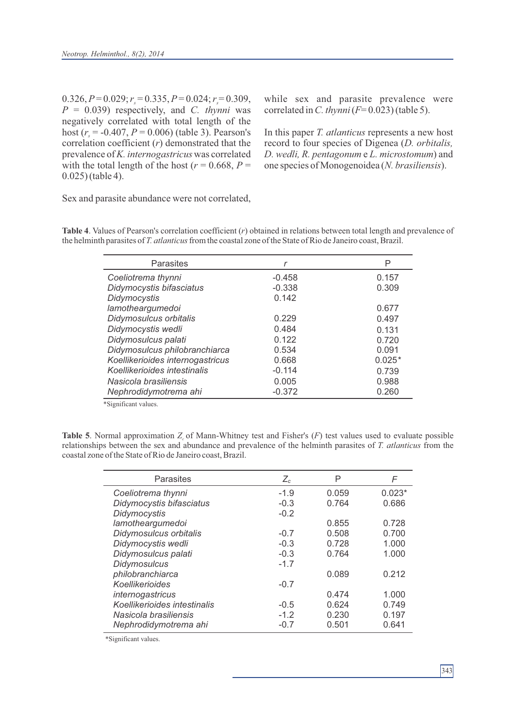$0.326, P=0.029; r = 0.335, P=0.024; r = 0.309,$ *P* = 0.039) respectively, and *C. thynni* was negatively correlated with total length of the host ( $r = -0.407$ ,  $P = 0.006$ ) (table 3). Pearson's correlation coefficient (*r*) demonstrated that the prevalence of *K. internogastricus* was correlated with the total length of the host ( $r = 0.668$ ,  $P =$ 0.025) (table 4).

while sex and parasite prevalence were correlated in *C. thynni*(*F*= 0.023) (table 5).

In this paper *T. atlanticus* represents a new host record to four species of Digenea (*D. orbitalis, D. wedli, R. pentagonum* e *L. microstomum*) and one species of Monogenoidea (*N. brasiliensis*).

Sex and parasite abundance were not correlated,

| Parasites                        |          | Р        |
|----------------------------------|----------|----------|
| Coeliotrema thynni               | $-0.458$ | 0.157    |
| Didymocystis bifasciatus         | $-0.338$ | 0.309    |
| Didymocystis                     | 0.142    |          |
| lamotheargumedoi                 |          | 0.677    |
| Didymosulcus orbitalis           | 0.229    | 0.497    |
| Didymocystis wedli               | 0.484    | 0.131    |
| Didymosulcus palati              | 0.122    | 0.720    |
| Didymosulcus philobranchiarca    | 0.534    | 0.091    |
| Koellikerioides internogastricus | 0.668    | $0.025*$ |
| Koellikerioides intestinalis     | $-0.114$ | 0.739    |
| Nasicola brasiliensis            | 0.005    | 0.988    |
| Nephrodidymotrema ahi            | $-0.372$ | 0.260    |

**Table 4**. Values of Pearson's correlation coefficient (*r*) obtained in relations between total length and prevalence of the helminth parasites of *T. atlanticus* from the coastal zone of the State of Rio de Janeiro coast, Brazil.

\*Significant values.

**Table 5**. Normal approximation  $Z_c$  of Mann-Whitney test and Fisher's  $(F)$  test values used to evaluate possible relationships between the sex and abundance and prevalence of the helminth parasites of *T. atlanticus* from the coastal zone of the State of Rio de Janeiro coast, Brazil.

| Parasites                    | $Z_c$  | Ρ     | F        |
|------------------------------|--------|-------|----------|
| Coeliotrema thynni           | $-1.9$ | 0.059 | $0.023*$ |
| Didymocystis bifasciatus     | $-0.3$ | 0.764 | 0.686    |
| Didymocystis                 | $-0.2$ |       |          |
| lamotheargumedoi             |        | 0.855 | 0.728    |
| Didymosulcus orbitalis       | $-0.7$ | 0.508 | 0.700    |
| Didymocystis wedli           | $-0.3$ | 0.728 | 1.000    |
| Didymosulcus palati          | $-0.3$ | 0.764 | 1.000    |
| <b>Didymosulcus</b>          | $-1.7$ |       |          |
| philobranchiarca             |        | 0.089 | 0.212    |
| Koellikerioides              | $-0.7$ |       |          |
| internogastricus             |        | 0.474 | 1.000    |
| Koellikerioides intestinalis | $-0.5$ | 0.624 | 0.749    |
| Nasicola brasiliensis        | $-1.2$ | 0.230 | 0.197    |
| Nephrodidymotrema ahi        | $-0.7$ | 0.501 | 0.641    |

\*Significant values.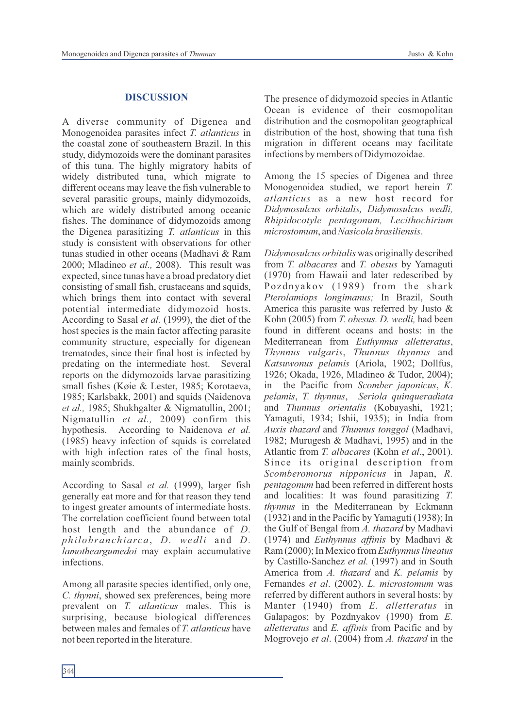## **DISCUSSION**

A diverse community of Digenea and Monogenoidea parasites infect *T. atlanticus* in the coastal zone of southeastern Brazil. In this study, didymozoids were the dominant parasites of this tuna. The highly migratory habits of widely distributed tuna, which migrate to different oceans may leave the fish vulnerable to several parasitic groups, mainly didymozoids, which are widely distributed among oceanic fishes. The dominance of didymozoids among the Digenea parasitizing *T. atlanticus* in this study is consistent with observations for other tunas studied in other oceans (Madhavi & Ram 2000; Mladineo *et al.,* 2008). This result was expected, since tunas have a broad predatory diet consisting of small fish, crustaceans and squids, which brings them into contact with several potential intermediate didymozoid hosts. According to Sasal *et al.* (1999), the diet of the host species is the main factor affecting parasite community structure, especially for digenean trematodes, since their final host is infected by predating on the intermediate host. Several reports on the didymozoids larvae parasitizing small fishes (Køie & Lester, 1985; Korotaeva, 1985; Karlsbakk, 2001) and squids (Naidenova *et al.,* 1985; Shukhgalter & Nigmatullin, 2001; Nigmatullin *et al.,* 2009) confirm this hypothesis. According to Naidenova *et al.*  (1985) heavy infection of squids is correlated with high infection rates of the final hosts, mainly scombrids.

According to Sasal *et al.* (1999), larger fish generally eat more and for that reason they tend to ingest greater amounts of intermediate hosts. The correlation coefficient found between total host length and the abundance of *D. philobranchiarca*, *D. wedli* and *D. lamotheargumedoi* may explain accumulative infections.

Among all parasite species identified, only one, *C. thynni*, showed sex preferences, being more prevalent on *T. atlanticus* males. This is surprising, because biological differences between males and females of *T. atlanticus* have not been reported in the literature.

The presence of didymozoid species in Atlantic Ocean is evidence of their cosmopolitan distribution and the cosmopolitan geographical distribution of the host, showing that tuna fish migration in different oceans may facilitate infections by members of Didymozoidae.

Among the 15 species of Digenea and three Monogenoidea studied, we report herein *T. atlanticus* as a new host record for *Didymosulcus orbitalis, Didymosulcus wedli, Rhipidocotyle pentagonum, Lecithochirium microstomum*, and *Nasicola brasiliensis*.

*Didymosulcus orbitalis* was originally described from *T. albacares* and *T. obesus* by Yamaguti (1970) from Hawaii and later redescribed by Pozdnyakov (1989) from the shark *Pterolamiops longimanus;* In Brazil, South America this parasite was referred by Justo & Kohn (2005) from *T. obesus. D. wedli,* had been found in different oceans and hosts: in the Mediterranean from *Euthynnus alletteratus*, *Thynnus vulgaris*, *Thunnus thynnus* and *Katsuwonus pelamis* (Ariola, 1902; Dollfus, 1926; Okada, 1926, Mladineo & Tudor, 2004); in the Pacific from *Scomber japonicus*, *K. pelamis*, *T. thynnus*, *Seriola quinqueradiata* and *Thunnus orientalis* (Kobayashi, 1921; Yamaguti, 1934; Ishii, 1935); in India from *Auxis thazard* and *Thunnus tonggol* (Madhavi, 1982; Murugesh & Madhavi, 1995) and in the Atlantic from *T. albacares* (Kohn *et al*., 2001). Since its original description from *Scomberomorus nipponicus* in Japan, *R. pentagonum* had been referred in different hosts and localities: It was found parasitizing *T. thynnus* in the Mediterranean by Eckmann (1932) and in the Pacific by Yamaguti (1938); In the Gulf of Bengal from *A. thazard* by Madhavi (1974) and *Euthynnus affinis* by Madhavi & Ram (2000); In Mexico from *Euthynnus lineatus*  by Castillo-Sanchez *et al.* (1997) and in South America from *A. thazard* and *K. pelamis* by Fernandes *et al*. (2002). *L. microstomum* was referred by different authors in several hosts: by Manter (1940) from *E. alletteratus* in Galapagos; by Pozdnyakov (1990) from *E. alletteratus* and *E. affinis* from Pacific and by Mogrovejo *et al*. (2004) from *A. thazard* in the

 $344$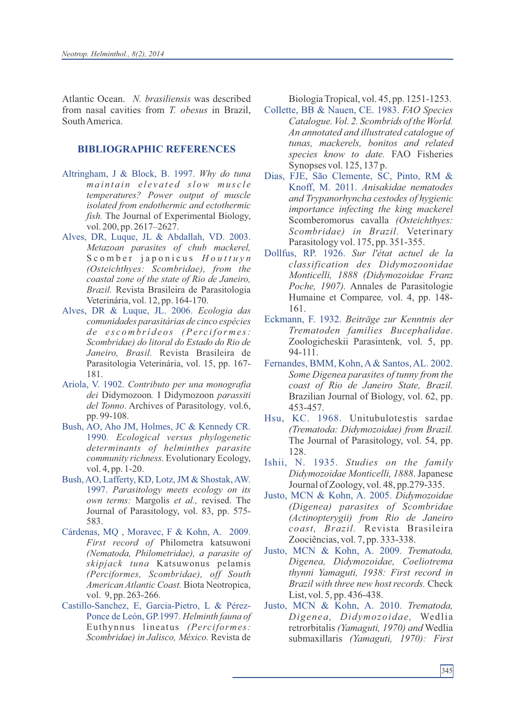Atlantic Ocean. *N. brasiliensis* was described from nasal cavities from *T. obesus* in Brazil, South America.

# **BIBLIOGRAPHIC REFERENCES**

- Altringham, J & Block, B. 1997. *Why do tuna ma i n t a i n e l e v a t e d sl ow mu s c l e temperatures? Power output of muscle isolated from endothermic and ectothermic fish.* The Journal of Experimental Biology, vol. 200, pp. 2617–2627.
- Alves, DR, Luque, JL & Abdallah, VD. 2003. *Metazoan parasites of chub mackerel,*  S c o m b e r j a p o n i c u s *H o u t t u y n (Osteichthyes: Scombridae), from the coastal zone of the state of Rio de Janeiro, Brazil.* Revista Brasileira de Parasitologia Veterinária, vol. 12, pp. 164-170.
- Alves, DR & Luque, JL. 2006. *Ecologia das comunidades parasitárias de cinco espécies d e e s c o m b rí d e o s (Pe rc i f o r m e s: Scombridae) do litoral do Estado do Rio de Janeiro, Brasil.* Revista Brasileira de Parasitologia Veterinária, vol. 15, pp. 167- 181.
- Ariola, V. 1902. *Contributo per una monografia dei* Didymozoon*.* I Didymozoon *parassiti del Tonno*. Archives of Parasitology*,* vol.6, pp. 99-108.
- Bush, AO, Aho JM, Holmes, JC & Kennedy CR. 1990*. Ecological versus phylogenetic determinants of helminthes parasite community richness.* Evolutionary Ecology, vol. 4, pp. 1-20.
- Bush, AO, Lafferty, KD, Lotz, JM & Shostak, AW. 1997. *Parasitology meets ecology on its own terms:* Margolis *et al.,* revised. The Journal of Parasitology, vol. 83, pp. 575- 583.
- Cárdenas, MQ , Moravec, F & Kohn, A. 2009. *First record of* Philometra katsuwoni *(Nematoda, Philometridae), a parasite of skipjack tuna* Katsuwonus pelamis *(Perciformes, Scombridae), off South American Atlantic Coast.* Biota Neotropica, vol. 9, pp. 263-266.
- Castillo-Sanchez, E, Garcia-Pietro, L & Pérez-Ponce de León, GP.1997. *Helminth fauna of*  Euthynnus lineatus *(Perciformes: Scombridae) in Jalisco, México.* Revista de

Biologia Tropical, vol. 45, pp. 1251-1253.

- Collette, BB & Nauen, CE. 1983. *FAO Species Catalogue. Vol. 2. Scombrids of the World. An annotated and illustrated catalogue of tunas, mackerels, bonitos and related species know to date.* FAO Fisheries Synopses vol. 125, 137 p.
- Dias, FJE, São Clemente, SC, Pinto, RM & Knoff, M. 2011. *Anisakidae nematodes and Trypanorhyncha cestodes of hygienic importance infecting the king mackerel*  Scomberomorus cavalla *(Osteichthyes: Scombridae) in Brazil.* Veterinary Parasitology vol. 175, pp. 351-355.
- Dollfus, RP. 1926. *Sur l'état actuel de la classification des Didymozoonidae Monticelli, 1888 (Didymozoidae Franz Poche, 1907).* Annales de Parasitologie Humaine et Comparee*,* vol. 4, pp. 148- 161.
- Eckmann, F. 1932. *Beiträge zur Kenntnis der Trematoden families Bucephalidae*. Zoologicheskii Parasintenk*,* vol. 5, pp. 94-111.
- Fernandes, BMM, Kohn, A& Santos, AL. 2002. *Some Digenea parasites of tunny from the coast of Rio de Janeiro State, Brazil.* Brazilian Journal of Biology, vol. 62, pp. 453-457.
- Hsu, KC. 1968. Unitubulotestis sardae *(Trematoda: Didymozoidae) from Brazil.* The Journal of Parasitology, vol. 54, pp. 128.
- Ishii, N. 1935. *Studies on the family Didymozoidae Monticelli, 1888*. Japanese Journal of Zoology, vol. 48, pp.279-335.
- Justo, MCN & Kohn, A. 2005. *Didymozoidae (Digenea) parasites of Scombridae (Actinopterygii) from Rio de Janeiro coast, Brazil.* Revista Brasileira Zoociências, vol. 7, pp. 333-338.
- Justo, MCN & Kohn, A. 2009. *Trematoda, Digenea, Didymozoidae, Coeliotrema thynni Yamaguti, 1938: First record in Brazil with three new host records.* Check List, vol. 5, pp. 436-438.
- Justo, MCN & Kohn, A. 2010. *Trematoda, Digenea, Didymozoidae,* Wedlia retrorbitalis *(Yamaguti, 1970) and* Wedlia submaxillaris *(Yamaguti, 1970): First*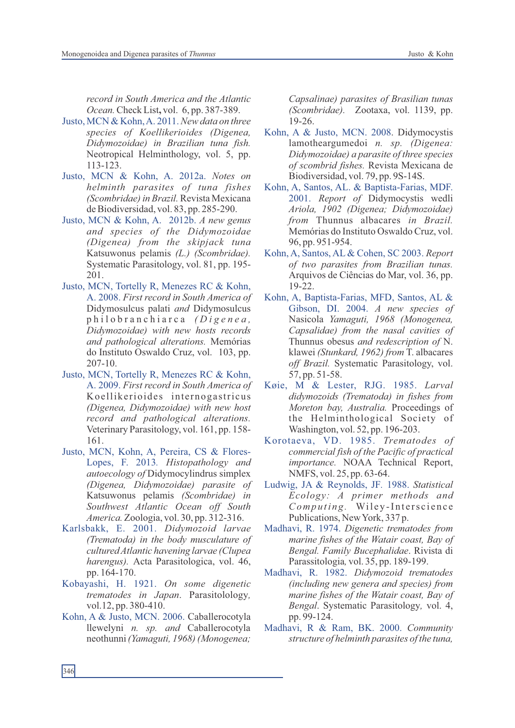*record in South America and the Atlantic Ocean.*Check List**,** vol. 6, pp. 387-389.

- Justo, MCN & Kohn, A. 2011. *New data on three species of Koellikerioides (Digenea, Didymozoidae) in Brazilian tuna fish.* Neotropical Helminthology, vol. 5, pp. 113-123.
- Justo, MCN & Kohn, A. 2012a. *Notes on helminth parasites of tuna fishes (Scombridae) in Brazil.* Revista Mexicana de Biodiversidad, vol. 83, pp. 285-290.
- Justo, MCN & Kohn, A. 2012b. *A new genus and species of the Didymozoidae (Digenea) from the skipjack tuna* Katsuwonus pelamis *(L.) (Scombridae).*  Systematic Parasitology, vol. 81, pp. 195- 201.
- Justo, MCN, Tortelly R, Menezes RC & Kohn, A. 2008. *First record in South America of*  Didymosulcus palati *and* Didymosulcus p h i l o b r a n c h i a r c a *( D i g e n e a , Didymozoidae) with new hosts records and pathological alterations.* Memórias do Instituto Oswaldo Cruz, vol. 103, pp. 207-10.
- Justo, MCN, Tortelly R, Menezes RC & Kohn, A. 2009. *First record in South America of*  Koellikerioides internogastricus *(Digenea, Didymozoidae) with new host record and pathological alterations.* Veterinary Parasitology, vol. 161, pp. 158- 161.
- Justo, MCN, Kohn, A, Pereira, CS & Flores-Lopes, F. 2013*. Histopathology and autoecology of* Didymocylindrus simplex *(Digenea, Didymozoidae) parasite of*  Katsuwonus pelamis *(Scombridae) in Southwest Atlantic Ocean off South America.*Zoologia, vol. 30, pp. 312-316.
- Karlsbakk, E. 2001. *Didymozoid larvae (Trematoda) in the body musculature of cultured Atlantic havening larvae (Clupea harengus).* Acta Parasitologica, vol. 46, pp. 164-170.
- Kobayashi, H. 1921. *On some digenetic trematodes in Japan*. Parasitolology*,* vol.12, pp. 380-410.
- Kohn, A & Justo, MCN. 2006. Caballerocotyla llewelyni *n. sp. and* Caballerocotyla neothunni*(Yamaguti, 1968) (Monogenea;*

*Capsalinae) parasites of Brasilian tunas (Scombridae).* Zootaxa, vol. 1139, pp. 19-26.

- Kohn, A & Justo, MCN. 2008. Didymocystis lamotheargumedoi *n. sp. (Digenea: Didymozoidae) a parasite of three species of scombrid fishes.* Revista Mexicana de Biodiversidad, vol. 79, pp. 9S-14S.
- Kohn, A, Santos, AL. & Baptista-Farias, MDF. 2001. *Report of* Didymocystis wedli *Ariola, 1902 (Digenea; Didymozoidae) from* Thunnus albacares *in Brazil.* Memórias do Instituto Oswaldo Cruz, vol. 96, pp. 951-954.
- Kohn, A, Santos, AL & Cohen, SC 2003. *Report of two parasites from Brazilian tunas.* Arquivos de Ciências do Mar, vol. 36, pp. 19-22.
- Kohn, A, Baptista-Farias, MFD, Santos, AL & Gibson, DI. 2004. *A new species of*  Nasicola *Yamaguti, 1968 (Monogenea, Capsalidae) from the nasal cavities of*  Thunnus obesus *and redescription of* N. klawei *(Stunkard, 1962) from* T. albacares *off Brazil.* Systematic Parasitology, vol. 57, pp. 51-58.
- Køie, M & Lester, RJG. 1985. *Larval didymozoids (Trematoda) in fishes from Moreton bay, Australia.* Proceedings of the Helminthological Society of Washington, vol. 52, pp. 196-203.
- Korotaeva, VD. 1985. *Trematodes of commercial fish of the Pacific of practical importance.* NOAA Technical Report, NMFS, vol. 25, pp. 63-64.
- Ludwig, JA & Reynolds, JF*.* 1988. *Statistical Ecology: A primer methods and Computing.* Wiley-Interscience Publications, New York, 337 p.
- Madhavi, R. 1974. *Digenetic trematodes from marine fishes of the Watair coast, Bay of Bengal. Family Bucephalidae*. Rivista di Parassitologia*,* vol. 35, pp. 189-199.
- Madhavi, R. 1982. *Didymozoid trematodes (including new genera and species) from marine fishes of the Watair coast, Bay of Bengal*. Systematic Parasitology*,* vol. 4, pp. 99-124.
- Madhavi, R & Ram, BK. 2000. *Community structure of helminth parasites of the tuna,*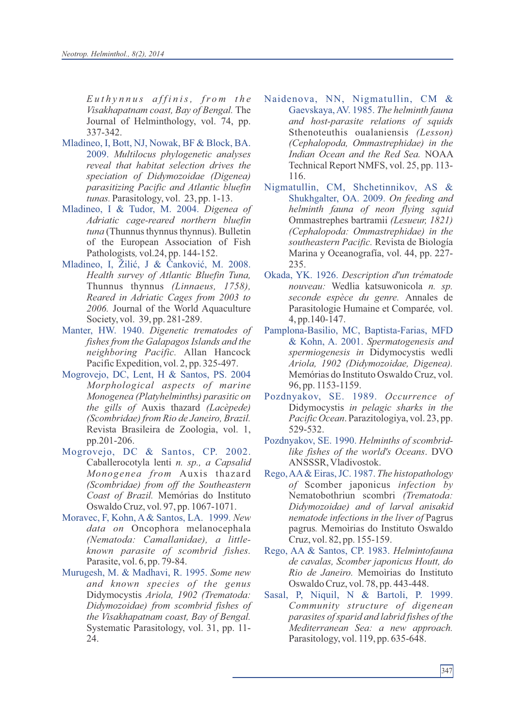*E u t h y n n u s a f f i n is, fr o m t h e Visakhapatnam coast, Bay of Bengal.* The Journal of Helminthology, vol. 74, pp. 337-342.

- Mladineo, I, Bott, NJ, Nowak, BF & Block, BA. 2009. *Multilocus phylogenetic analyses reveal that habitat selection drives the speciation of Didymozoidae (Digenea) parasitizing Pacific and Atlantic bluefin tunas.* Parasitology, vol. 23, pp. 1-13.
- Mladineo, I & Tudor, M. 2004. *Digenea of Adriatic cage-reared northern bluefin tuna* (Thunnus thynnus thynnus). Bulletin of the European Association of Fish Pathologists*,* vol.24, pp. 144-152.
- Mladineo, I, Žilić, J & Čanković, M. 2008. *Health survey of Atlantic Bluefin Tuna,*  Thunnus thynnus *(Linnaeus, 1758), Reared in Adriatic Cages from 2003 to 2006.* Journal of the World Aquaculture Society, vol. 39, pp. 281-289.
- Manter, HW. 1940. *Digenetic trematodes of fishes from the Galapagos Islands and the neighboring Pacific.* Allan Hancock Pacific Expedition, vol. 2, pp. 325-497.
- Mogrovejo, DC, Lent, H & Santos, PS. 2004 *Morphological aspects of marine Monogenea (Platyhelminths) parasitic on the gills of* Auxis thazard *(Lacèpede) (Scombridae) from Rio de Janeiro, Brazil.*  Revista Brasileira de Zoologia, vol. 1, pp.201-206.
- Mogrovejo, DC & Santos, CP. 2002. Caballerocotyla lenti *n. sp., a Capsalid Monogenea from* Auxis thazard *(Scombridae) from off the Southeastern Coast of Brazil.* Memórias do Instituto Oswaldo Cruz, vol. 97, pp. 1067-1071.
- Moravec, F, Kohn, A & Santos, LA. 1999. *New data on* Oncophora melanocephala *(Nematoda: Camallanidae), a littleknown parasite of scombrid fishes.* Parasite, vol. 6, pp. 79-84.
- Murugesh, M. & Madhavi, R. 1995. *Some new and known species of the genus* Didymocystis *Ariola, 1902 (Trematoda: Didymozoidae) from scombrid fishes of the Visakhapatnam coast, Bay of Bengal.* Systematic Parasitology, vol. 31, pp. 11- 24.
- Naidenova, NN, Nigmatullin, CM & Gaevskaya, AV. 1985. *The helminth fauna and host-parasite relations of squids*  Sthenoteuthis oualaniensis *(Lesson) (Cephalopoda, Ommastrephidae) in the Indian Ocean and the Red Sea.* NOAA Technical Report NMFS, vol. 25, pp. 113- 116.
- Nigmatullin, CM, Shchetinnikov, AS & Shukhgalter, OA. 2009. *On feeding and helminth fauna of neon flying squid*  Ommastrephes bartramii *(Lesueur, 1821) (Cephalopoda: Ommastrephidae) in the southeastern Pacific.* Revista de Biología Marina y Oceanografía, vol. 44, pp. 227- 235.
- Okada, YK. 1926. *Description d'un trématode nouveau:* Wedlia katsuwonicola *n. sp. seconde espèce du genre.* Annales de Parasitologie Humaine et Comparée*,* vol. 4, pp.140-147.
- Pamplona-Basilio, MC, Baptista-Farias, MFD & Kohn, A. 2001. *Spermatogenesis and spermiogenesis in* Didymocystis wedli *Ariola, 1902 (Didymozoidae, Digenea).* Memórias do Instituto Oswaldo Cruz, vol. 96, pp. 1153-1159.
- Pozdnyakov, SE. 1989. *Occurrence of* Didymocystis *in pelagic sharks in the Pacific Ocean*. Parazitologiya, vol. 23, pp. 529-532.
- Pozdnyakov, SE. 1990. *Helminths of scombridlike fishes of the world's Oceans*. DVO ANSSSR, Vladivostok.
- Rego, AA& Eiras, JC. 1987. *The histopathology of* Scomber japonicus *infection by* Nematobothriun scombri *(Trematoda: Didymozoidae) and of larval anisakid nematode infections in the liver of* Pagrus pagrus*.* Memoìrias do Instituto Oswaldo Cruz, vol. 82, pp. 155-159.
- Rego, AA & Santos, CP. 1983. *Helmintofauna de cavalas, Scomber japonicus Houtt, do Rio de Janeiro.* Memoìrias do Instituto Oswaldo Cruz, vol. 78, pp. 443-448.
- Sasal, P, Niquil, N & Bartoli, P. 1999. *Community structure of digenean parasites of sparid and labrid fishes of the Mediterranean Sea: a new approach.* Parasitology, vol. 119, pp. 635-648.

347